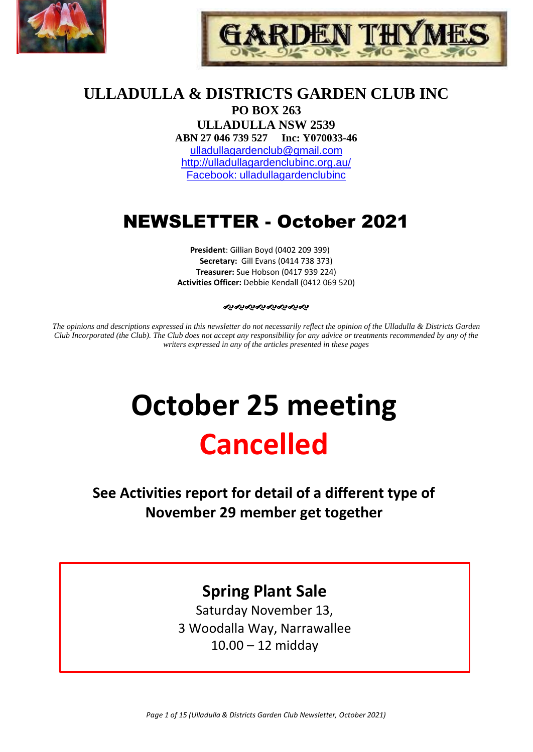



# **ULLADULLA & DISTRICTS GARDEN CLUB INC**

**PO BOX 263 ULLADULLA NSW 2539 ABN 27 046 739 527 Inc: Y070033-46**  [ulladullagardenclub@gmail.com](mailto:ulladullagardenclub@gmail.com) <http://ulladullagardenclubinc.org.au/> Facebook: ulladullagardenclubinc

# NEWSLETTER - October 2021

**President**: Gillian Boyd (0402 209 399) **Secretary:** Gill Evans (0414 738 373) **Treasurer:** Sue Hobson (0417 939 224) **Activities Officer:** Debbie Kendall (0412 069 520)

#### ઌ૰ઌ૰ઌ૰ઌ૰ઌ૰ઌ૰ઌ

*The opinions and descriptions expressed in this newsletter do not necessarily reflect the opinion of the Ulladulla & Districts Garden Club Incorporated (the Club). The Club does not accept any responsibility for any advice or treatments recommended by any of the writers expressed in any of the articles presented in these pages*

# **October 25 meeting Cancelled**

**See Activities report for detail of a different type of November 29 member get together**

# **Spring Plant Sale**

Saturday November 13, 3 Woodalla Way, Narrawallee 10.00 – 12 midday

*Page 1 of 15 (Ulladulla & Districts Garden Club Newsletter, October 2021)*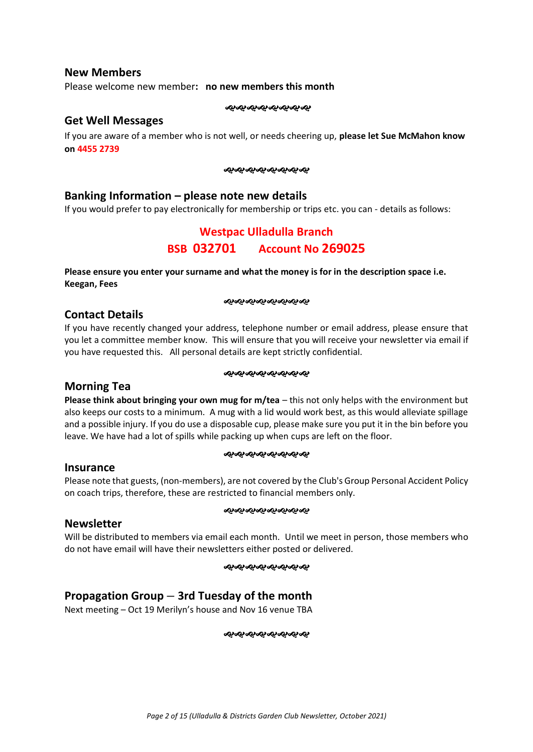## **New Members**

Please welcome new member**: no new members this month**

જાજાજાજાજાજાજાજા

#### **Get Well Messages**

If you are aware of a member who is not well, or needs cheering up, **please let Sue McMahon know on 4455 2739**

#### જાજાજાજાજાજાજાજા

## **Banking Information – please note new details**

If you would prefer to pay electronically for membership or trips etc. you can - details as follows:

# **Westpac Ulladulla Branch BSB 032701 Account No 269025**

**Please ensure you enter your surname and what the money is for in the description space i.e. Keegan, Fees**

#### જાજાજાજાજાજાજાજા

#### **Contact Details**

If you have recently changed your address, telephone number or email address, please ensure that you let a committee member know. This will ensure that you will receive your newsletter via email if you have requested this. All personal details are kept strictly confidential.

#### ઌ૰ઌ૰ૡ૰ૡ૰ૡ૰ૡ૰ૡ

## **Morning Tea**

**Please think about bringing your own mug for m/tea** – this not only helps with the environment but also keeps our costs to a minimum. A mug with a lid would work best, as this would alleviate spillage and a possible injury. If you do use a disposable cup, please make sure you put it in the bin before you leave. We have had a lot of spills while packing up when cups are left on the floor.

#### ઌ૰ૡ૰ૡ૰ૡ૰ૡ૰ૡ૰ૡ

#### **Insurance**

Please note that guests, (non-members), are not covered by the Club's Group Personal Accident Policy on coach trips, therefore, these are restricted to financial members only.

#### જાજાજાજાજાજાજાજા

#### **Newsletter**

Will be distributed to members via email each month. Until we meet in person, those members who do not have email will have their newsletters either posted or delivered.

#### જાજાજાજાજાજાજાજ

# **Propagation Group – 3rd Tuesday of the month**

Next meeting – Oct 19 Merilyn's house and Nov 16 venue TBA

જાજ્જ્*જ્જ્જ્જ્જ્જ્જ્*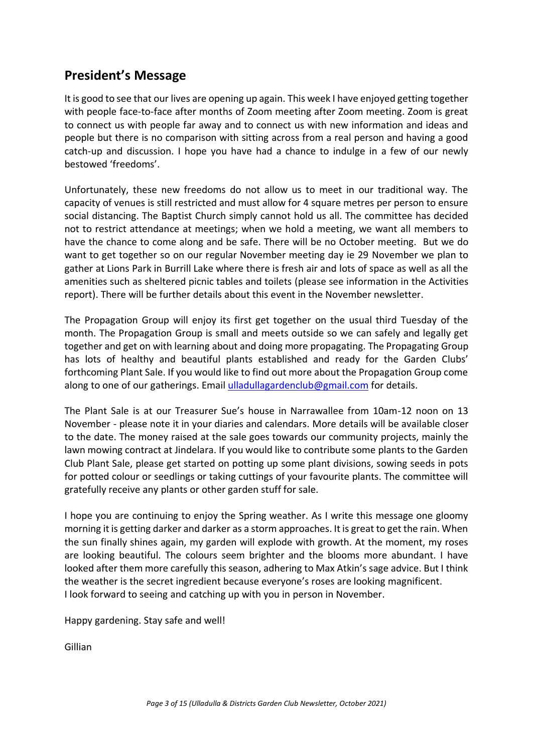# **President's Message**

It is good to see that our lives are opening up again. This week I have enjoyed getting together with people face-to-face after months of Zoom meeting after Zoom meeting. Zoom is great to connect us with people far away and to connect us with new information and ideas and people but there is no comparison with sitting across from a real person and having a good catch-up and discussion. I hope you have had a chance to indulge in a few of our newly bestowed 'freedoms'.

Unfortunately, these new freedoms do not allow us to meet in our traditional way. The capacity of venues is still restricted and must allow for 4 square metres per person to ensure social distancing. The Baptist Church simply cannot hold us all. The committee has decided not to restrict attendance at meetings; when we hold a meeting, we want all members to have the chance to come along and be safe. There will be no October meeting. But we do want to get together so on our regular November meeting day ie 29 November we plan to gather at Lions Park in Burrill Lake where there is fresh air and lots of space as well as all the amenities such as sheltered picnic tables and toilets (please see information in the Activities report). There will be further details about this event in the November newsletter.

The Propagation Group will enjoy its first get together on the usual third Tuesday of the month. The Propagation Group is small and meets outside so we can safely and legally get together and get on with learning about and doing more propagating. The Propagating Group has lots of healthy and beautiful plants established and ready for the Garden Clubs' forthcoming Plant Sale. If you would like to find out more about the Propagation Group come along to one of our gatherings. Email [ulladullagardenclub@gmail.com](mailto:ulladullagardenclub@gmail.com) for details.

The Plant Sale is at our Treasurer Sue's house in Narrawallee from 10am-12 noon on 13 November - please note it in your diaries and calendars. More details will be available closer to the date. The money raised at the sale goes towards our community projects, mainly the lawn mowing contract at Jindelara. If you would like to contribute some plants to the Garden Club Plant Sale, please get started on potting up some plant divisions, sowing seeds in pots for potted colour or seedlings or taking cuttings of your favourite plants. The committee will gratefully receive any plants or other garden stuff for sale.

I hope you are continuing to enjoy the Spring weather. As I write this message one gloomy morning it is getting darker and darker as a storm approaches. It is great to get the rain. When the sun finally shines again, my garden will explode with growth. At the moment, my roses are looking beautiful. The colours seem brighter and the blooms more abundant. I have looked after them more carefully this season, adhering to Max Atkin's sage advice. But I think the weather is the secret ingredient because everyone's roses are looking magnificent. I look forward to seeing and catching up with you in person in November.

Happy gardening. Stay safe and well!

Gillian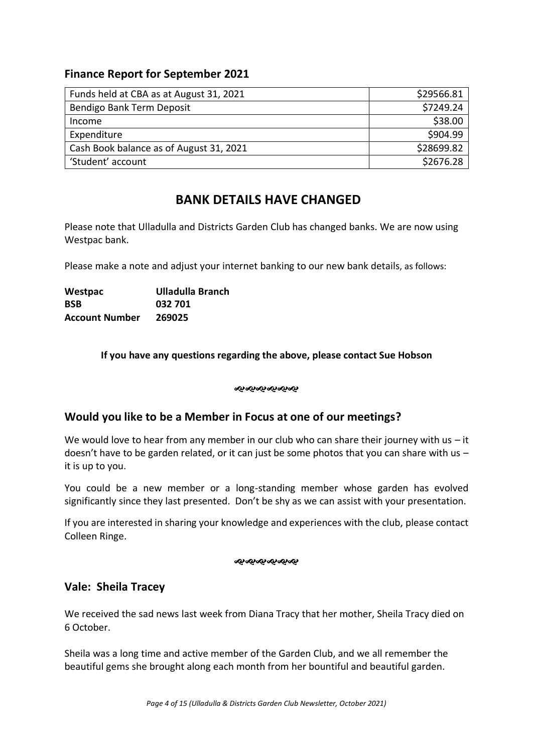# **Finance Report for September 2021**

| Funds held at CBA as at August 31, 2021 | \$29566.81 |
|-----------------------------------------|------------|
| Bendigo Bank Term Deposit               | \$7249.24  |
| Income                                  | \$38.00    |
| Expenditure                             | \$904.99   |
| Cash Book balance as of August 31, 2021 | \$28699.82 |
| 'Student' account                       | \$2676.28  |

# **BANK DETAILS HAVE CHANGED**

Please note that Ulladulla and Districts Garden Club has changed banks. We are now using Westpac bank.

Please make a note and adjust your internet banking to our new bank details, as follows:

| Westpac               | Ulladulla Branch |
|-----------------------|------------------|
| <b>BSB</b>            | 032 701          |
| <b>Account Number</b> | 269025           |

## **If you have any questions regarding the above, please contact Sue Hobson**

#### જાજાજાજાજાજા

# **Would you like to be a Member in Focus at one of our meetings?**

We would love to hear from any member in our club who can share their journey with us  $-$  it doesn't have to be garden related, or it can just be some photos that you can share with us  $$ it is up to you.

You could be a new member or a long-standing member whose garden has evolved significantly since they last presented. Don't be shy as we can assist with your presentation.

If you are interested in sharing your knowledge and experiences with the club, please contact Colleen Ringe.

#### ન્સન્સન્સન્સન્સ

# **Vale: Sheila Tracey**

We received the sad news last week from Diana Tracy that her mother, Sheila Tracy died on 6 October.

Sheila was a long time and active member of the Garden Club, and we all remember the beautiful gems she brought along each month from her bountiful and beautiful garden.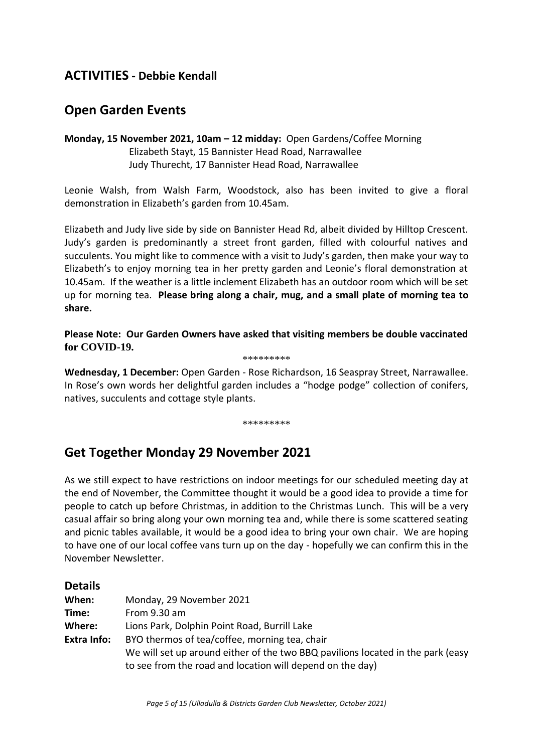# **ACTIVITIES - Debbie Kendall**

# **Open Garden Events**

**Monday, 15 November 2021, 10am – 12 midday:** Open Gardens/Coffee Morning Elizabeth Stayt, 15 Bannister Head Road, Narrawallee Judy Thurecht, 17 Bannister Head Road, Narrawallee

Leonie Walsh, from Walsh Farm, Woodstock, also has been invited to give a floral demonstration in Elizabeth's garden from 10.45am.

Elizabeth and Judy live side by side on Bannister Head Rd, albeit divided by Hilltop Crescent. Judy's garden is predominantly a street front garden, filled with colourful natives and succulents. You might like to commence with a visit to Judy's garden, then make your way to Elizabeth's to enjoy morning tea in her pretty garden and Leonie's floral demonstration at 10.45am. If the weather is a little inclement Elizabeth has an outdoor room which will be set up for morning tea. **Please bring along a chair, mug, and a small plate of morning tea to share.**

**Please Note: Our Garden Owners have asked that visiting members be double vaccinated for COVID-19.** 

#### \*\*\*\*\*\*\*\*\*

**Wednesday, 1 December:** Open Garden - Rose Richardson, 16 Seaspray Street, Narrawallee. In Rose's own words her delightful garden includes a "hodge podge" collection of conifers, natives, succulents and cottage style plants.

#### \*\*\*\*\*\*\*\*\*

# **Get Together Monday 29 November 2021**

As we still expect to have restrictions on indoor meetings for our scheduled meeting day at the end of November, the Committee thought it would be a good idea to provide a time for people to catch up before Christmas, in addition to the Christmas Lunch. This will be a very casual affair so bring along your own morning tea and, while there is some scattered seating and picnic tables available, it would be a good idea to bring your own chair. We are hoping to have one of our local coffee vans turn up on the day - hopefully we can confirm this in the November Newsletter.

| <b>Details</b>     |                                                                                 |
|--------------------|---------------------------------------------------------------------------------|
| When:              | Monday, 29 November 2021                                                        |
| Time:              | From $9.30$ am                                                                  |
| Where:             | Lions Park, Dolphin Point Road, Burrill Lake                                    |
| <b>Extra Info:</b> | BYO thermos of tea/coffee, morning tea, chair                                   |
|                    | We will set up around either of the two BBQ pavilions located in the park (easy |
|                    | to see from the road and location will depend on the day)                       |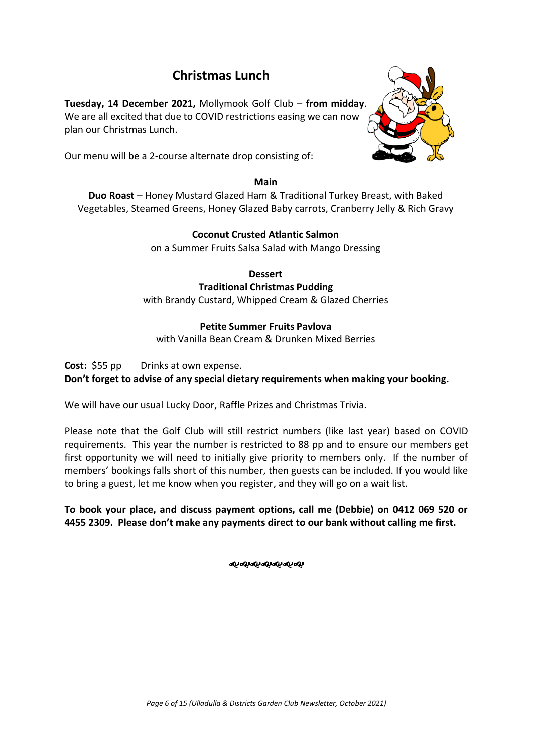# **Christmas Lunch**

**Tuesday, 14 December 2021,** Mollymook Golf Club – **from midday**. We are all excited that due to COVID restrictions easing we can now plan our Christmas Lunch.

Our menu will be a 2-course alternate drop consisting of:

#### **Main**

**Duo Roast** – Honey Mustard Glazed Ham & Traditional Turkey Breast, with Baked Vegetables, Steamed Greens, Honey Glazed Baby carrots, Cranberry Jelly & Rich Gravy

## **Coconut Crusted Atlantic Salmon**

on a Summer Fruits Salsa Salad with Mango Dressing

# **Dessert**

#### **Traditional Christmas Pudding**

with Brandy Custard, Whipped Cream & Glazed Cherries

## **Petite Summer Fruits Pavlova**

with Vanilla Bean Cream & Drunken Mixed Berries

**Cost:** \$55 pp Drinks at own expense.

**Don't forget to advise of any special dietary requirements when making your booking.**

We will have our usual Lucky Door, Raffle Prizes and Christmas Trivia.

Please note that the Golf Club will still restrict numbers (like last year) based on COVID requirements. This year the number is restricted to 88 pp and to ensure our members get first opportunity we will need to initially give priority to members only. If the number of members' bookings falls short of this number, then guests can be included. If you would like to bring a guest, let me know when you register, and they will go on a wait list.

**To book your place, and discuss payment options, call me (Debbie) on 0412 069 520 or 4455 2309. Please don't make any payments direct to our bank without calling me first.** 

ઌ૰ૡ૰ૡ૰ૡ૰ૡ૰ૡ

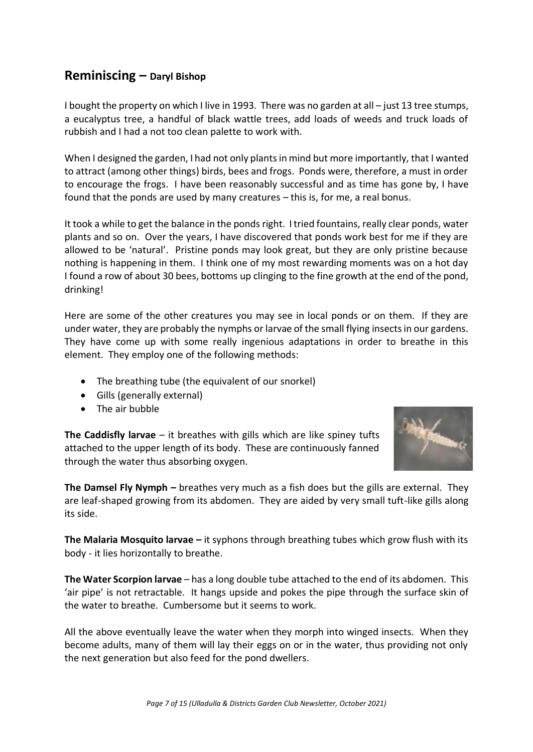# **Reminiscing – Daryl Bishop**

I bought the property on which I live in 1993. There was no garden at all – just 13 tree stumps, a eucalyptus tree, a handful of black wattle trees, add loads of weeds and truck loads of rubbish and I had a not too clean palette to work with.

When I designed the garden, I had not only plants in mind but more importantly, that I wanted to attract (among other things) birds, bees and frogs. Ponds were, therefore, a must in order to encourage the frogs. I have been reasonably successful and as time has gone by, I have found that the ponds are used by many creatures – this is, for me, a real bonus.

It took a while to get the balance in the ponds right. I tried fountains, really clear ponds, water plants and so on. Over the years, I have discovered that ponds work best for me if they are allowed to be 'natural'. Pristine ponds may look great, but they are only pristine because nothing is happening in them. I think one of my most rewarding moments was on a hot day I found a row of about 30 bees, bottoms up clinging to the fine growth at the end of the pond, drinking!

Here are some of the other creatures you may see in local ponds or on them. If they are under water, they are probably the nymphs or larvae of the small flying insects in our gardens. They have come up with some really ingenious adaptations in order to breathe in this element. They employ one of the following methods:

- The breathing tube (the equivalent of our snorkel)
- Gills (generally external)
- The air bubble

**The Caddisfly larvae** – it breathes with gills which are like spiney tufts attached to the upper length of its body. These are continuously fanned through the water thus absorbing oxygen.



**The Damsel Fly Nymph –** breathes very much as a fish does but the gills are external. They are leaf-shaped growing from its abdomen. They are aided by very small tuft-like gills along its side.

**The Malaria Mosquito larvae –** it syphons through breathing tubes which grow flush with its body - it lies horizontally to breathe.

**The Water Scorpion larvae** – has a long double tube attached to the end of its abdomen. This 'air pipe' is not retractable. It hangs upside and pokes the pipe through the surface skin of the water to breathe. Cumbersome but it seems to work.

All the above eventually leave the water when they morph into winged insects. When they become adults, many of them will lay their eggs on or in the water, thus providing not only the next generation but also feed for the pond dwellers.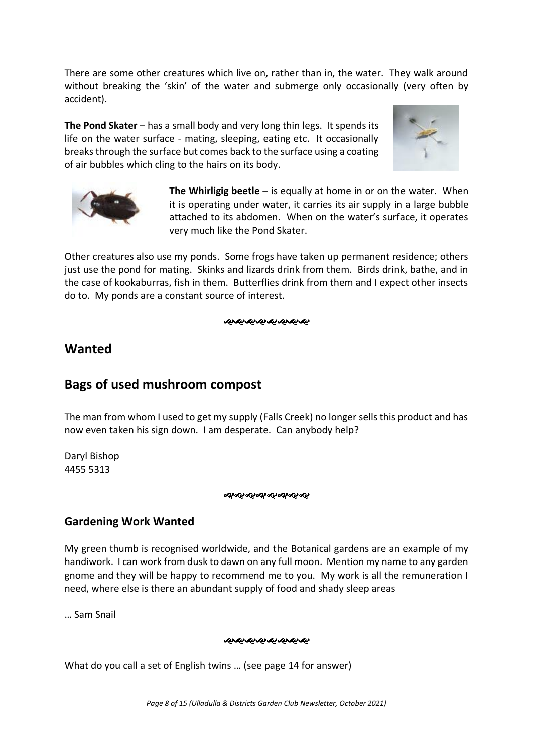There are some other creatures which live on, rather than in, the water. They walk around without breaking the 'skin' of the water and submerge only occasionally (very often by accident).

**The Pond Skater** – has a small body and very long thin legs. It spends its life on the water surface - mating, sleeping, eating etc. It occasionally breaks through the surface but comes back to the surface using a coating of air bubbles which cling to the hairs on its body.





**The Whirligig beetle** – is equally at home in or on the water. When it is operating under water, it carries its air supply in a large bubble attached to its abdomen. When on the water's surface, it operates very much like the Pond Skater.

Other creatures also use my ponds. Some frogs have taken up permanent residence; others just use the pond for mating. Skinks and lizards drink from them. Birds drink, bathe, and in the case of kookaburras, fish in them. Butterflies drink from them and I expect other insects do to. My ponds are a constant source of interest.

જાજાજાજાજાજાજાજા

# **Wanted**

# **Bags of used mushroom compost**

The man from whom I used to get my supply (Falls Creek) no longer sells this product and has now even taken his sign down. I am desperate. Can anybody help?

Daryl Bishop 4455 5313

#### જાજાજાજાજાજાજાજા

# **Gardening Work Wanted**

My green thumb is recognised worldwide, and the Botanical gardens are an example of my handiwork. I can work from dusk to dawn on any full moon. Mention my name to any garden gnome and they will be happy to recommend me to you. My work is all the remuneration I need, where else is there an abundant supply of food and shady sleep areas

… Sam Snail

#### જાજાજાજાજાજાજાજ

What do you call a set of English twins … (see page 14 for answer)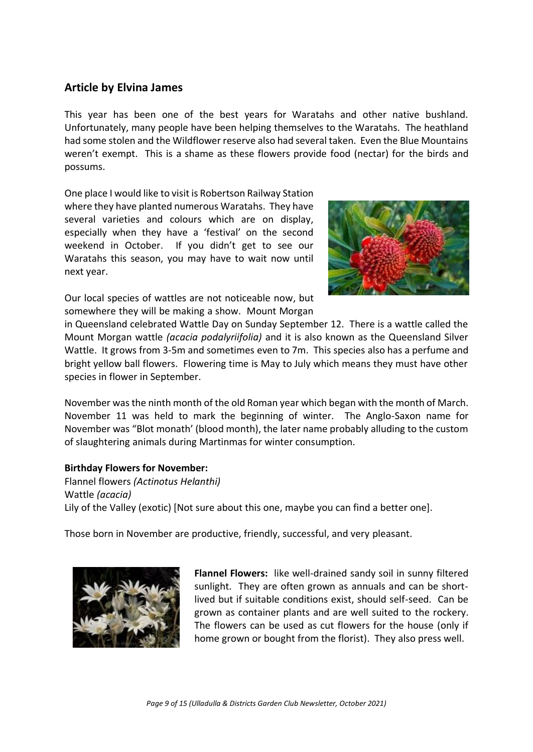## **Article by Elvina James**

This year has been one of the best years for Waratahs and other native bushland. Unfortunately, many people have been helping themselves to the Waratahs. The heathland had some stolen and the Wildflower reserve also had several taken. Even the Blue Mountains weren't exempt. This is a shame as these flowers provide food (nectar) for the birds and possums.

One place I would like to visit is Robertson Railway Station where they have planted numerous Waratahs. They have several varieties and colours which are on display, especially when they have a 'festival' on the second weekend in October. If you didn't get to see our Waratahs this season, you may have to wait now until next year.



Our local species of wattles are not noticeable now, but somewhere they will be making a show. Mount Morgan

in Queensland celebrated Wattle Day on Sunday September 12. There is a wattle called the Mount Morgan wattle *(acacia podalyriifolia)* and it is also known as the Queensland Silver Wattle. It grows from 3-5m and sometimes even to 7m. This species also has a perfume and bright yellow ball flowers. Flowering time is May to July which means they must have other species in flower in September.

November was the ninth month of the old Roman year which began with the month of March. November 11 was held to mark the beginning of winter. The Anglo-Saxon name for November was "Blot monath' (blood month), the later name probably alluding to the custom of slaughtering animals during Martinmas for winter consumption.

#### **Birthday Flowers for November:**

Flannel flowers *(Actinotus Helanthi)* Wattle *(acacia)* Lily of the Valley (exotic) [Not sure about this one, maybe you can find a better one].

Those born in November are productive, friendly, successful, and very pleasant.



**Flannel Flowers:** like well-drained sandy soil in sunny filtered sunlight. They are often grown as annuals and can be shortlived but if suitable conditions exist, should self-seed. Can be grown as container plants and are well suited to the rockery. The flowers can be used as cut flowers for the house (only if home grown or bought from the florist). They also press well.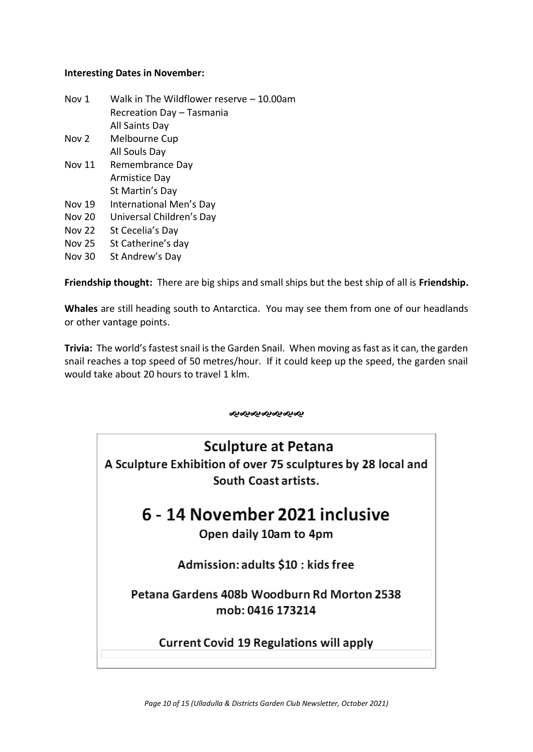#### **Interesting Dates in November:**

| Nov 1         | Walk in The Wildflower reserve $-10.00$ am |
|---------------|--------------------------------------------|
|               | Recreation Day - Tasmania                  |
|               | All Saints Day                             |
| Nov 2         | Melbourne Cup                              |
|               | All Souls Day                              |
| <b>Nov 11</b> | Remembrance Day                            |
|               | <b>Armistice Day</b>                       |
|               | St Martin's Day                            |
| <b>Nov 19</b> | International Men's Day                    |
| <b>Nov 20</b> | Universal Children's Day                   |
| <b>Nov 22</b> | St Cecelia's Day                           |
|               |                                            |

- Nov 25 St Catherine's day
- Nov 30 St Andrew's Day

**Friendship thought:** There are big ships and small ships but the best ship of all is **Friendship.**

**Whales** are still heading south to Antarctica. You may see them from one of our headlands or other vantage points.

**Trivia:** The world's fastest snail is the Garden Snail. When moving as fast as it can, the garden snail reaches a top speed of 50 metres/hour. If it could keep up the speed, the garden snail would take about 20 hours to travel 1 klm.

ન્જન્જન્જન્જન્જન્

# **Sculpture at Petana**

A Sculpture Exhibition of over 75 sculptures by 28 local and South Coast artists.

# 6 - 14 November 2021 inclusive

# Open daily 10am to 4pm

Admission: adults \$10 : kids free

Petana Gardens 408b Woodburn Rd Morton 2538 mob: 0416 173214

**Current Covid 19 Regulations will apply**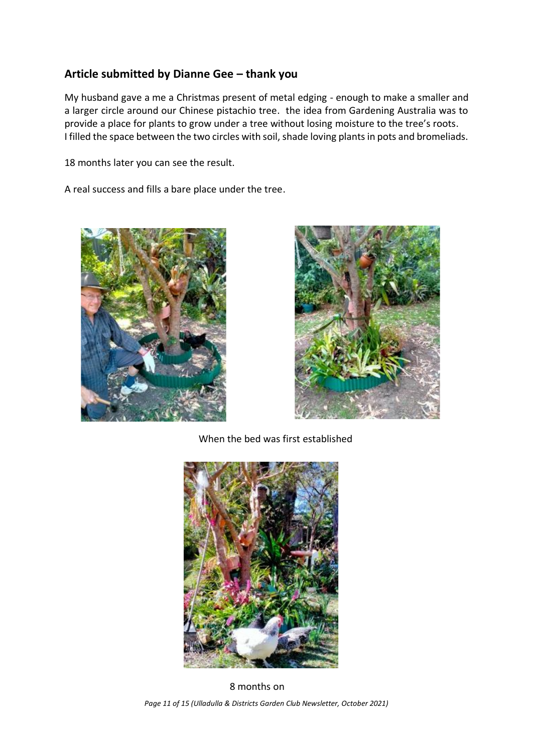# **Article submitted by Dianne Gee – thank you**

My husband gave a me a Christmas present of metal edging - enough to make a smaller and a larger circle around our Chinese pistachio tree. the idea from Gardening Australia was to provide a place for plants to grow under a tree without losing moisture to the tree's roots. I filled the space between the two circles with soil, shade loving plants in pots and bromeliads.

18 months later you can see the result.

A real success and fills a bare place under the tree.





When the bed was first established



*Page 11 of 15 (Ulladulla & Districts Garden Club Newsletter, October 2021)* …8 months on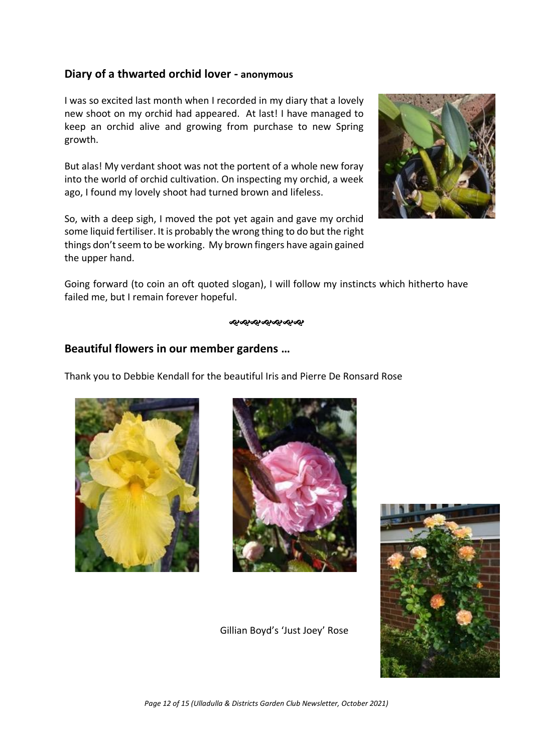## **Diary of a thwarted orchid lover - anonymous**

I was so excited last month when I recorded in my diary that a lovely new shoot on my orchid had appeared. At last! I have managed to keep an orchid alive and growing from purchase to new Spring growth.

But alas! My verdant shoot was not the portent of a whole new foray into the world of orchid cultivation. On inspecting my orchid, a week ago, I found my lovely shoot had turned brown and lifeless.

So, with a deep sigh, I moved the pot yet again and gave my orchid some liquid fertiliser. It is probably the wrong thing to do but the right things don't seem to be working. My brown fingers have again gained the upper hand.



Going forward (to coin an oft quoted slogan), I will follow my instincts which hitherto have failed me, but I remain forever hopeful.

#### જાજાજાજાજાજાજા

## **Beautiful flowers in our member gardens …**

Thank you to Debbie Kendall for the beautiful Iris and Pierre De Ronsard Rose





Gillian Boyd's 'Just Joey' Rose

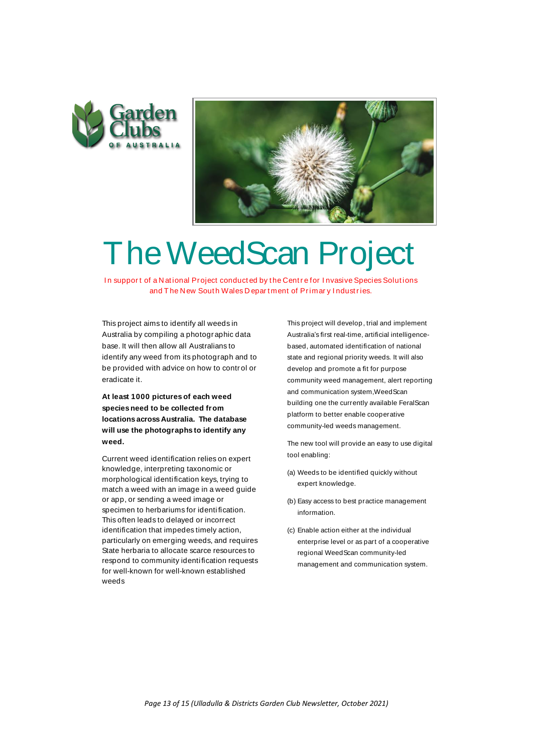



# **The WeedScan Project Project Conducted by the Centre for Invasive Species Solutions BU CEOSCAN Project CONFINER ANALLON CONTROL CONTROL**

This project aims to identify all weeds in Australia by compiling a photographic data base. It will then allow all Australians to identify any weed from its photograph and to be provided with advice on how to contr ol or eradicate it.

**At least 1000 pictures of each weed species need to be collected from locations across Australia. The database will use the photographs to identify any weed.**

Current weed identification relies on expert knowledge, interpreting taxonomic or morphological identification keys, trying to match a weed with an image in a weed guide or app, or sending a weed image or specimen to herbariums for identi fication. This often leads to delayed or incorrect identification that impedes timely action, particularly on emerging weeds, and requires specimen to herbariums for identification.<br>This often leads to delayed or incorrect<br>identification that impedes timely action,<br>particularly on emerging weeds, and requires<br>State herbaria to allocate scarce resources to<br>res respond to community identi fication requests for well-known for well-known established weeds

This project will develop , trial and implement Tor PTIMM y Thuustries.<br>This project will develop , trial and implement<br>Australia's first real-time, artificial intelligence-<br>hased, automated identification of national based, automated identification of national state and regional priority weeds. It will also develop and promote a fit for purpose community weed management, alert reporting and communication system,WeedScan building one the currently available FeralScan platform to better enable cooperative community-led weeds management.

The new tool will provide an easy to use digital tool enabling:

- (a) Weeds to be identified quickly without expert knowledge.
- (b) Easy access to best practice management information.
- (c) Enable action either at the individual enterprise level or as part of a cooperative regional WeedScan community-led management and communication system.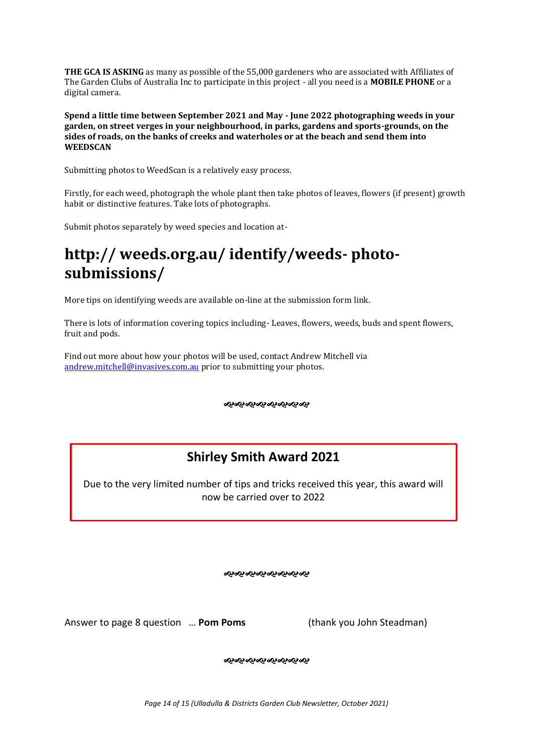**THE GCA IS ASKING** as many as possible of the 55,000 gardeners who are associated with Affiliates of The Garden Clubs of Australia Inc to participate in this project - all you need is a **MOBILE PHONE** or a digital camera.

**Spend a little time between September 2021 and May - June 2022 photographing weeds in your garden, on street verges in your neighbourhood, in parks, gardens and sports-grounds, on the sides of roads, on the banks of creeks and waterholes or at the beach and send them into WEEDSCAN** 

Submitting photos to WeedScan is a relatively easy process.

Firstly, for each weed, photograph the whole plant then take photos of leaves, flowers (if present) growth habit or distinctive features. Take lots of photographs.

Submit photos separately by weed species and location at-

# **http:// weeds.org.au/ identify/weeds- photosubmissions/**

More tips on identifying weeds are available on-line at the submission form link.

There is lots of information covering topics including- Leaves, flowers, weeds, buds and spent flowers, fruit and pods.

Find out more about how your photos will be used, contact Andrew Mitchell via [andrew.mitchell@invasives.com.au](mailto:andrew.mitchell@invasives.com.au) prior to submitting your photos.

ઌ૰ઌ૰ઌ૰ઌ૰ઌ૰ઌ૰ઌ

# **Shirley Smith Award 2021**

Due to the very limited number of tips and tricks received this year, this award will now be carried over to 2022

જાજાજાજાજાજાજાજા

Answer to page 8 question … **Pom Poms** (thank you John Steadman)

જાજાજાજાજાજાજાજા